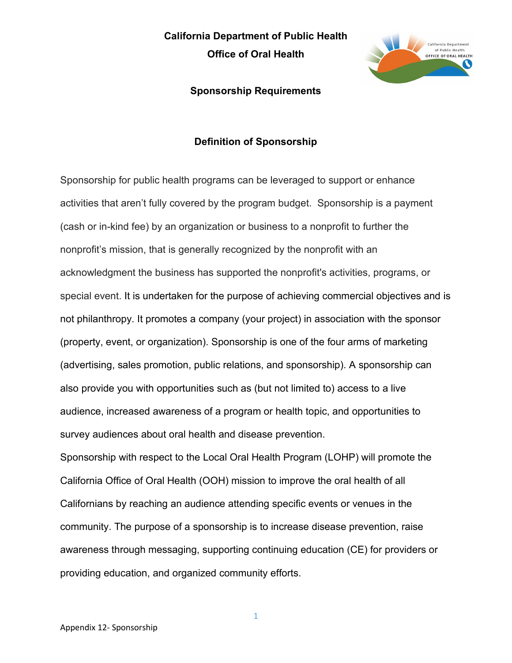**Office of Oral Health**



#### **Sponsorship Requirements**

#### **Definition of Sponsorship**

Sponsorship for public health programs can be leveraged to support or enhance activities that aren't fully covered by the program budget. Sponsorship is a payment (cash or in-kind fee) by an organization or business to a nonprofit to further the nonprofit's mission, that is generally recognized by the nonprofit with an acknowledgment the business has supported the nonprofit's activities, programs, or special event. It is undertaken for the purpose of achieving commercial objectives and is not philanthropy. It promotes a company (your project) in association with the sponsor (property, event, or organization). Sponsorship is one of the four arms of marketing (advertising, sales promotion, public relations, and sponsorship). A sponsorship can also provide you with opportunities such as (but not limited to) access to a live audience, increased awareness of a program or health topic, and opportunities to survey audiences about oral health and disease prevention.

Sponsorship with respect to the Local Oral Health Program (LOHP) will promote the California Office of Oral Health (OOH) mission to improve the oral health of all Californians by reaching an audience attending specific events or venues in the community. The purpose of a sponsorship is to increase disease prevention, raise awareness through messaging, supporting continuing education (CE) for providers or providing education, and organized community efforts.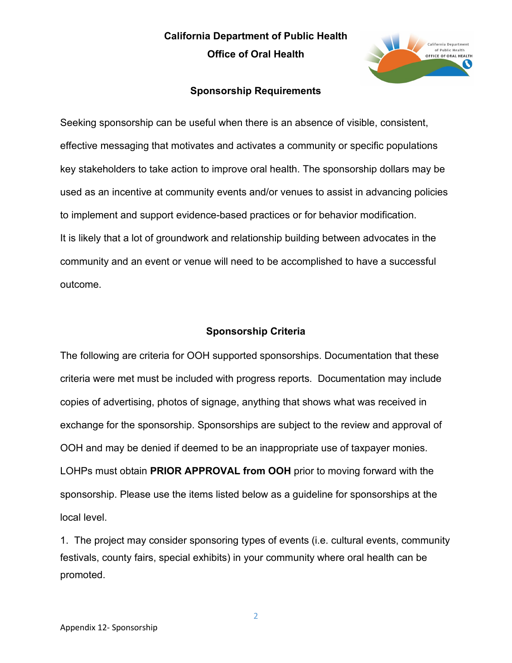# **California Department of Public Health Office of Oral Health**



#### **Sponsorship Requirements**

Seeking sponsorship can be useful when there is an absence of visible, consistent, effective messaging that motivates and activates a community or specific populations key stakeholders to take action to improve oral health. The sponsorship dollars may be used as an incentive at community events and/or venues to assist in advancing policies to implement and support evidence-based practices or for behavior modification. It is likely that a lot of groundwork and relationship building between advocates in the community and an event or venue will need to be accomplished to have a successful outcome.

#### **Sponsorship Criteria**

The following are criteria for OOH supported sponsorships. Documentation that these criteria were met must be included with progress reports. Documentation may include copies of advertising, photos of signage, anything that shows what was received in exchange for the sponsorship. Sponsorships are subject to the review and approval of OOH and may be denied if deemed to be an inappropriate use of taxpayer monies. LOHPs must obtain **PRIOR APPROVAL from OOH** prior to moving forward with the sponsorship. Please use the items listed below as a guideline for sponsorships at the local level.

1. The project may consider sponsoring types of events (i.e. cultural events, community festivals, county fairs, special exhibits) in your community where oral health can be promoted.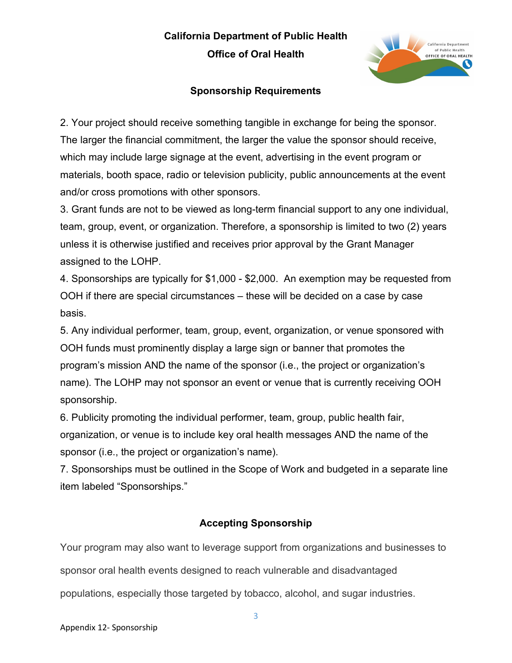**Office of Oral Health**



# **Sponsorship Requirements**

2. Your project should receive something tangible in exchange for being the sponsor. The larger the financial commitment, the larger the value the sponsor should receive, which may include large signage at the event, advertising in the event program or materials, booth space, radio or television publicity, public announcements at the event and/or cross promotions with other sponsors.

3. Grant funds are not to be viewed as long-term financial support to any one individual, team, group, event, or organization. Therefore, a sponsorship is limited to two (2) years unless it is otherwise justified and receives prior approval by the Grant Manager assigned to the LOHP.

4. Sponsorships are typically for \$1,000 - \$2,000. An exemption may be requested from OOH if there are special circumstances – these will be decided on a case by case basis.

5. Any individual performer, team, group, event, organization, or venue sponsored with OOH funds must prominently display a large sign or banner that promotes the program's mission AND the name of the sponsor (i.e., the project or organization's name). The LOHP may not sponsor an event or venue that is currently receiving OOH sponsorship.

6. Publicity promoting the individual performer, team, group, public health fair, organization, or venue is to include key oral health messages AND the name of the sponsor (i.e., the project or organization's name).

7. Sponsorships must be outlined in the Scope of Work and budgeted in a separate line item labeled "Sponsorships."

# **Accepting Sponsorship**

Your program may also want to leverage support from organizations and businesses to sponsor oral health events designed to reach vulnerable and disadvantaged populations, especially those targeted by tobacco, alcohol, and sugar industries.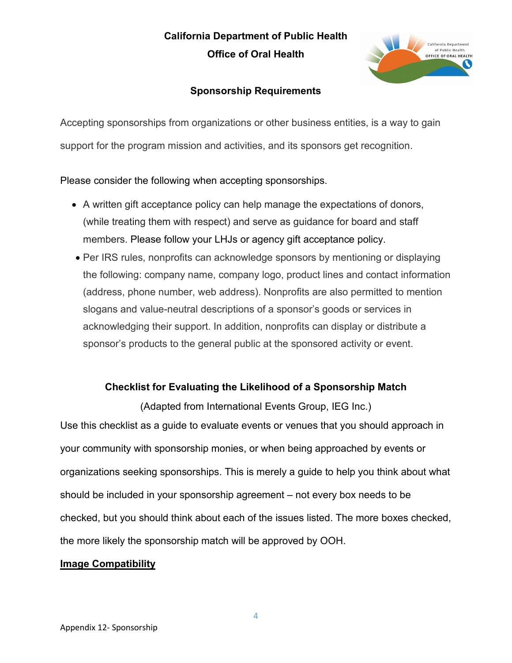# **California Department of Public Health Office of Oral Health**



# **Sponsorship Requirements**

Accepting sponsorships from organizations or other business entities, is a way to gain support for the program mission and activities, and its sponsors get recognition.

Please consider the following when accepting sponsorships.

- A written gift acceptance policy can help manage the expectations of donors, (while treating them with respect) and serve as guidance for board and staff members. Please follow your LHJs or agency gift acceptance policy.
- Per IRS rules, nonprofits can acknowledge sponsors by mentioning or displaying the following: company name, company logo, product lines and contact information (address, phone number, web address). Nonprofits are also permitted to mention slogans and value-neutral descriptions of a sponsor's goods or services in acknowledging their support. In addition, nonprofits can display or distribute a sponsor's products to the general public at the sponsored activity or event.

# **Checklist for Evaluating the Likelihood of a Sponsorship Match**

(Adapted from International Events Group, IEG Inc.) Use this checklist as a guide to evaluate events or venues that you should approach in your community with sponsorship monies, or when being approached by events or organizations seeking sponsorships. This is merely a guide to help you think about what should be included in your sponsorship agreement – not every box needs to be checked, but you should think about each of the issues listed. The more boxes checked, the more likely the sponsorship match will be approved by OOH.

# **Image Compatibility**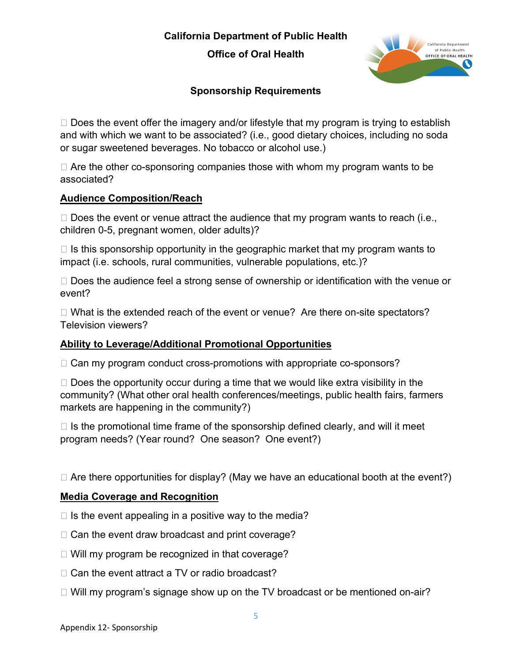**Office of Oral Health**



# **Sponsorship Requirements**

 $\Box$  Does the event offer the imagery and/or lifestyle that my program is trying to establish and with which we want to be associated? (i.e., good dietary choices, including no soda or sugar sweetened beverages. No tobacco or alcohol use.)

 $\Box$  Are the other co-sponsoring companies those with whom my program wants to be associated?

#### **Audience Composition/Reach**

 $\Box$  Does the event or venue attract the audience that my program wants to reach (i.e., children 0-5, pregnant women, older adults)?

 $\Box$  Is this sponsorship opportunity in the geographic market that my program wants to impact (i.e. schools, rural communities, vulnerable populations, etc.)?

 $\Box$  Does the audience feel a strong sense of ownership or identification with the venue or event?

□ What is the extended reach of the event or venue? Are there on-site spectators? Television viewers?

# **Ability to Leverage/Additional Promotional Opportunities**

 $\Box$  Can my program conduct cross-promotions with appropriate co-sponsors?

 $\Box$  Does the opportunity occur during a time that we would like extra visibility in the community? (What other oral health conferences/meetings, public health fairs, farmers markets are happening in the community?)

 $\Box$  Is the promotional time frame of the sponsorship defined clearly, and will it meet program needs? (Year round? One season? One event?)

 $\Box$  Are there opportunities for display? (May we have an educational booth at the event?)

# **Media Coverage and Recognition**

- $\Box$  Is the event appealing in a positive way to the media?
- $\Box$  Can the event draw broadcast and print coverage?
- □ Will my program be recognized in that coverage?
- $\Box$  Can the event attract a TV or radio broadcast?
- $\Box$  Will my program's signage show up on the TV broadcast or be mentioned on-air?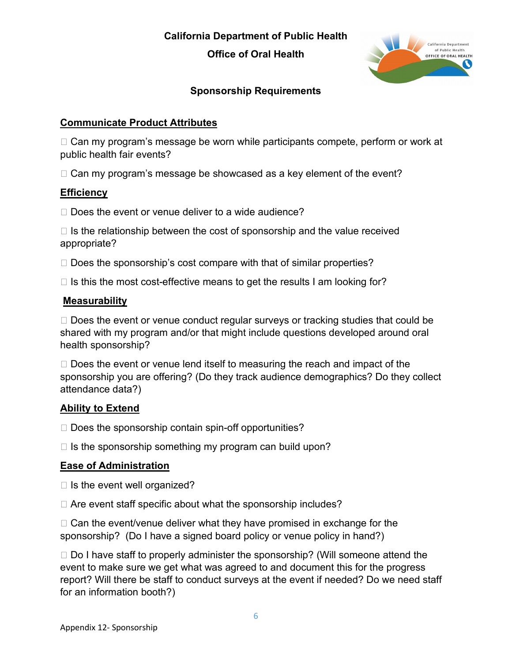**Office of Oral Health**



# **Sponsorship Requirements**

#### **Communicate Product Attributes**

 $\Box$  Can my program's message be worn while participants compete, perform or work at public health fair events?

 $\Box$  Can my program's message be showcased as a key element of the event?

#### **Efficiency**

 $\Box$  Does the event or venue deliver to a wide audience?

 $\Box$  Is the relationship between the cost of sponsorship and the value received appropriate?

 $\Box$  Does the sponsorship's cost compare with that of similar properties?

 $\Box$  Is this the most cost-effective means to get the results I am looking for?

#### **Measurability**

 $\Box$  Does the event or venue conduct regular surveys or tracking studies that could be shared with my program and/or that might include questions developed around oral health sponsorship?

 $\Box$  Does the event or venue lend itself to measuring the reach and impact of the sponsorship you are offering? (Do they track audience demographics? Do they collect attendance data?)

#### **Ability to Extend**

 $\Box$  Does the sponsorship contain spin-off opportunities?

 $\Box$  Is the sponsorship something my program can build upon?

# **Ease of Administration**

 $\Box$  Is the event well organized?

 $\Box$  Are event staff specific about what the sponsorship includes?

 $\Box$  Can the event/venue deliver what they have promised in exchange for the sponsorship? (Do I have a signed board policy or venue policy in hand?)

 $\Box$  Do I have staff to properly administer the sponsorship? (Will someone attend the event to make sure we get what was agreed to and document this for the progress report? Will there be staff to conduct surveys at the event if needed? Do we need staff for an information booth?)